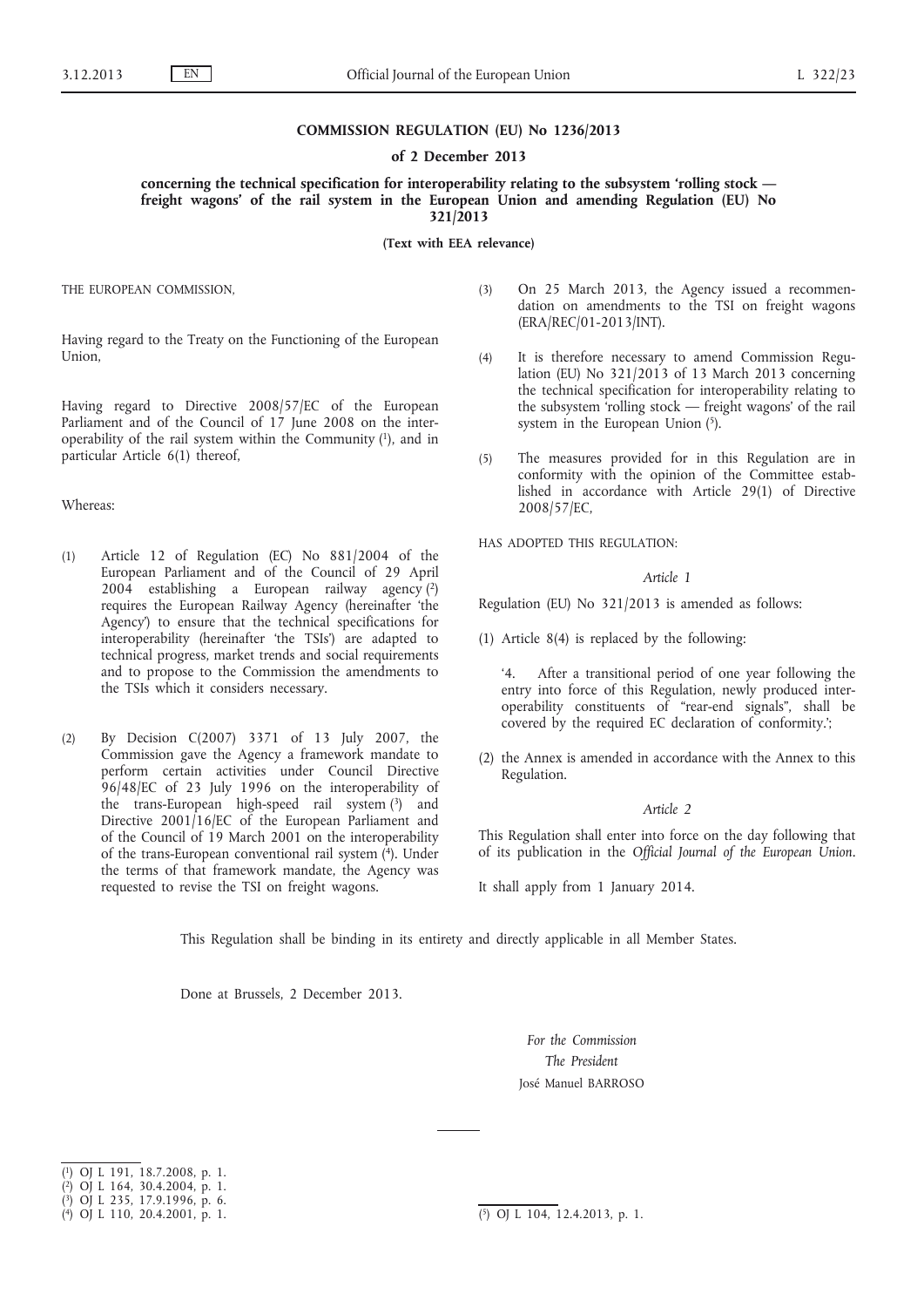## **COMMISSION REGULATION (EU) No 1236/2013**

## **of 2 December 2013**

**concerning the technical specification for interoperability relating to the subsystem 'rolling stock freight wagons' of the rail system in the European Union and amending Regulation (EU) No 321/2013**

**(Text with EEA relevance)**

THE EUROPEAN COMMISSION,

Having regard to the Treaty on the Functioning of the European Union,

Having regard to Directive 2008/57/EC of the European Parliament and of the Council of 17 June 2008 on the interoperability of the rail system within the Community  $(1)$ , and in particular Article 6(1) thereof,

### Whereas:

- (1) Article 12 of Regulation (EC) No 881/2004 of the European Parliament and of the Council of 29 April  $200\hat{4}$  establishing a European railway agency  $(2)$ requires the European Railway Agency (hereinafter 'the Agency') to ensure that the technical specifications for interoperability (hereinafter 'the TSIs') are adapted to technical progress, market trends and social requirements and to propose to the Commission the amendments to the TSIs which it considers necessary.
- (2) By Decision C(2007) 3371 of 13 July 2007, the Commission gave the Agency a framework mandate to perform certain activities under Council Directive 96/48/EC of 23 July 1996 on the interoperability of the trans-European high-speed rail system (3) and Directive 2001/16/EC of the European Parliament and of the Council of 19 March 2001 on the interoperability of the trans-European conventional rail system (4). Under the terms of that framework mandate, the Agency was requested to revise the TSI on freight wagons.
- (3) On 25 March 2013, the Agency issued a recommendation on amendments to the TSI on freight wagons (ERA/REC/01-2013/INT).
- (4) It is therefore necessary to amend Commission Regulation (EU) No 321/2013 of 13 March 2013 concerning the technical specification for interoperability relating to the subsystem 'rolling stock — freight wagons' of the rail system in the European Union (5).
- (5) The measures provided for in this Regulation are in conformity with the opinion of the Committee established in accordance with Article 29(1) of Directive 2008/57/EC,

HAS ADOPTED THIS REGULATION:

#### *Article 1*

Regulation (EU) No 321/2013 is amended as follows:

(1) Article 8(4) is replaced by the following:

'4. After a transitional period of one year following the entry into force of this Regulation, newly produced interoperability constituents of "rear-end signals", shall be covered by the required EC declaration of conformity.';

(2) the Annex is amended in accordance with the Annex to this Regulation.

# *Article 2*

This Regulation shall enter into force on the day following that of its publication in the *Official Journal of the European Union.*

It shall apply from 1 January 2014.

This Regulation shall be binding in its entirety and directly applicable in all Member States.

Done at Brussels, 2 December 2013.

*For the Commission The President* José Manuel BARROSO

<sup>(</sup> 1) OJ L 191, 18.7.2008, p. 1.

<sup>(</sup> 2) OJ L 164, 30.4.2004, p. 1.

<sup>(</sup> 3) OJ L 235, 17.9.1996, p. 6.

<sup>(</sup> 4) OJ L 110, 20.4.2001, p. 1. (5) OJ L 104, 12.4.2013, p. 1.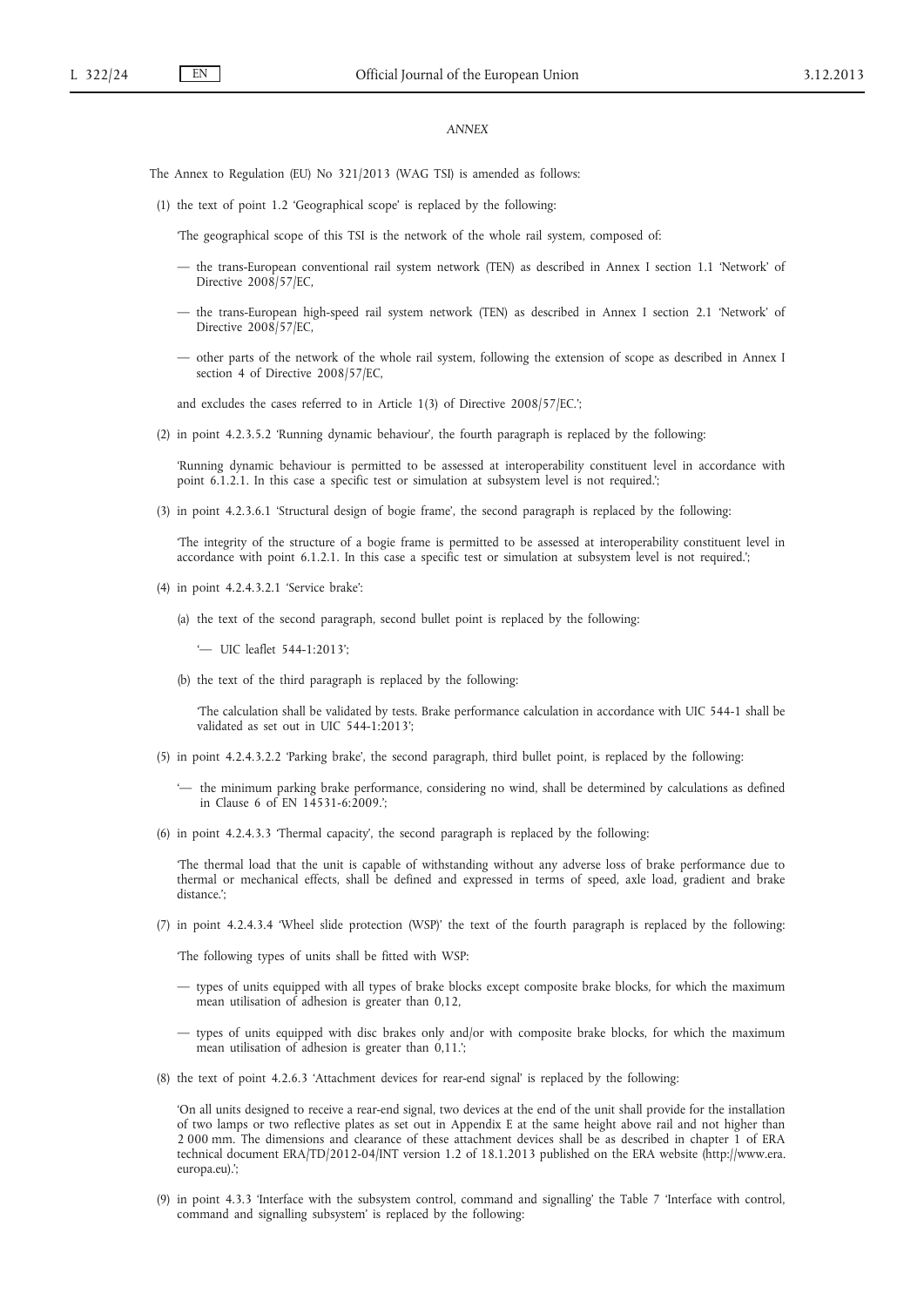# *ANNEX*

The Annex to Regulation (EU) No 321/2013 (WAG TSI) is amended as follows:

(1) the text of point 1.2 'Geographical scope' is replaced by the following:

'The geographical scope of this TSI is the network of the whole rail system, composed of:

- the trans-European conventional rail system network (TEN) as described in Annex I section 1.1 'Network' of Directive 2008/57/EC,
- the trans-European high-speed rail system network (TEN) as described in Annex I section 2.1 'Network' of Directive 2008/57/EC,
- other parts of the network of the whole rail system, following the extension of scope as described in Annex I section 4 of Directive 2008/57/EC,

and excludes the cases referred to in Article 1(3) of Directive 2008/57/EC.';

(2) in point 4.2.3.5.2 'Running dynamic behaviour', the fourth paragraph is replaced by the following:

'Running dynamic behaviour is permitted to be assessed at interoperability constituent level in accordance with point 6.1.2.1. In this case a specific test or simulation at subsystem level is not required.';

(3) in point 4.2.3.6.1 'Structural design of bogie frame', the second paragraph is replaced by the following:

'The integrity of the structure of a bogie frame is permitted to be assessed at interoperability constituent level in accordance with point 6.1.2.1. In this case a specific test or simulation at subsystem level is not required.';

- (4) in point 4.2.4.3.2.1 'Service brake':
	- (a) the text of the second paragraph, second bullet point is replaced by the following:

'— UIC leaflet 544-1:2013';

(b) the text of the third paragraph is replaced by the following:

'The calculation shall be validated by tests. Brake performance calculation in accordance with UIC 544-1 shall be validated as set out in UIC 544-1:2013';

- (5) in point 4.2.4.3.2.2 'Parking brake', the second paragraph, third bullet point, is replaced by the following:
	- '— the minimum parking brake performance, considering no wind, shall be determined by calculations as defined in Clause 6 of EN 14531-6:2009.';
- (6) in point 4.2.4.3.3 'Thermal capacity', the second paragraph is replaced by the following:

'The thermal load that the unit is capable of withstanding without any adverse loss of brake performance due to thermal or mechanical effects, shall be defined and expressed in terms of speed, axle load, gradient and brake distance.';

(7) in point 4.2.4.3.4 'Wheel slide protection (WSP)' the text of the fourth paragraph is replaced by the following:

'The following types of units shall be fitted with WSP:

- types of units equipped with all types of brake blocks except composite brake blocks, for which the maximum mean utilisation of adhesion is greater than 0,12,
- types of units equipped with disc brakes only and/or with composite brake blocks, for which the maximum mean utilisation of adhesion is greater than 0,11.';
- (8) the text of point 4.2.6.3 'Attachment devices for rear-end signal' is replaced by the following:

'On all units designed to receive a rear-end signal, two devices at the end of the unit shall provide for the installation of two lamps or two reflective plates as set out in Appendix E at the same height above rail and not higher than 2 000 mm. The dimensions and clearance of these attachment devices shall be as described in chapter 1 of ERA technical document ERA/TD/2012-04/INT version 1.2 of 18.1.2013 published on the ERA website ([http://www.era.](http://www.era.europa.eu) [europa.eu](http://www.era.europa.eu)).';

(9) in point 4.3.3 'Interface with the subsystem control, command and signalling' the Table 7 'Interface with control, command and signalling subsystem' is replaced by the following: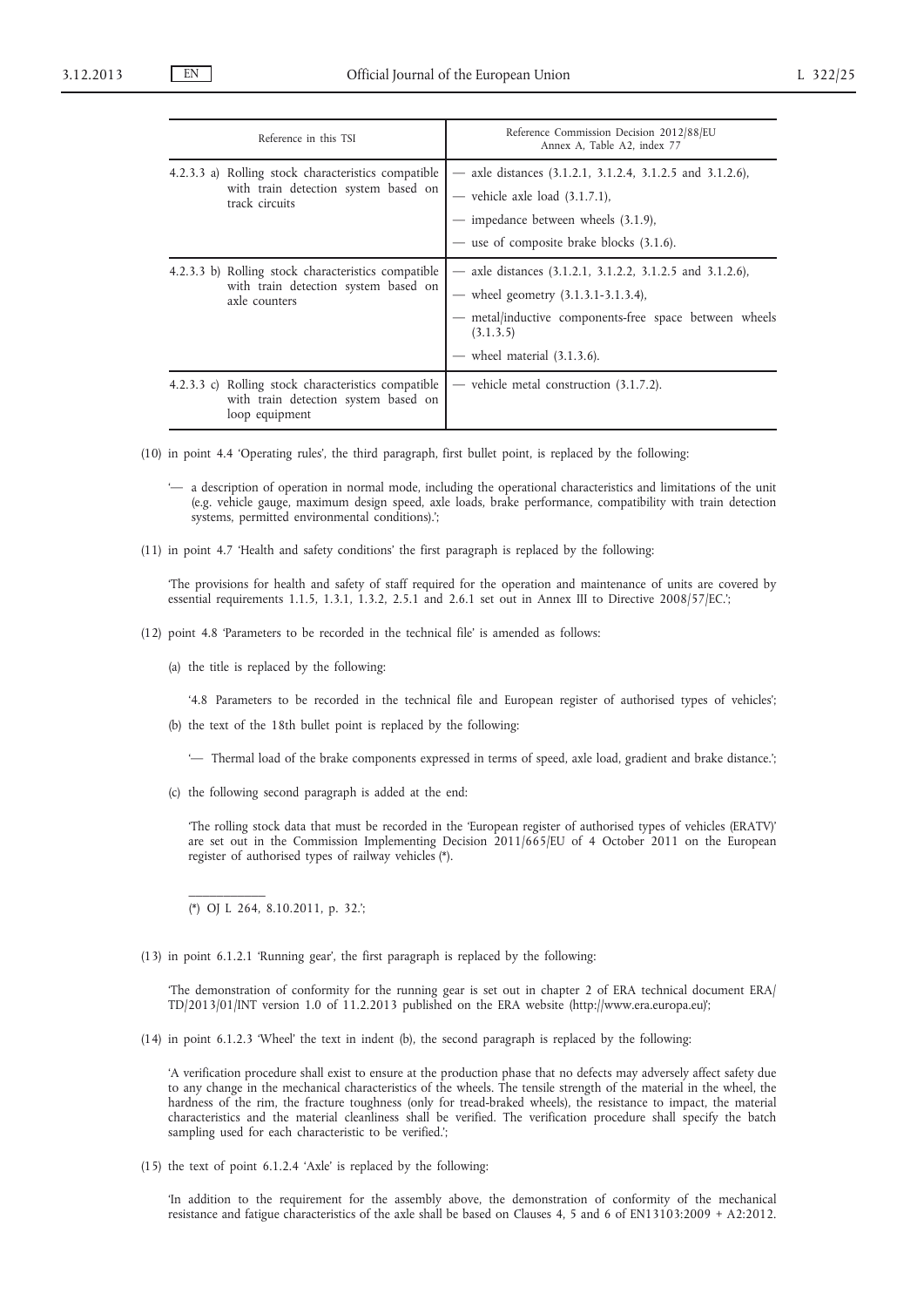| Reference in this TSI                                                                                         | Reference Commission Decision 2012/88/EU<br>Annex A, Table A2, index 77                                                                                                                                    |  |  |
|---------------------------------------------------------------------------------------------------------------|------------------------------------------------------------------------------------------------------------------------------------------------------------------------------------------------------------|--|--|
| 4.2.3.3 a) Rolling stock characteristics compatible<br>with train detection system based on<br>track circuits | — axle distances $(3.1.2.1, 3.1.2.4, 3.1.2.5, 3.1.2.6)$ ,<br>- vehicle axle load $(3.1.7.1)$ ,<br>- impedance between wheels (3.1.9),<br>- use of composite brake blocks (3.1.6).                          |  |  |
| 4.2.3.3 b) Rolling stock characteristics compatible<br>with train detection system based on<br>axle counters  | - axle distances $(3.1.2.1, 3.1.2.2, 3.1.2.5, 3.1.2.6)$ ,<br>— wheel geometry $(3.1.3.1-3.1.3.4)$ ,<br>- metal/inductive components-free space between wheels<br>(3.1.3.5)<br>wheel material $(3.1.3.6)$ . |  |  |
| 4.2.3.3 c) Rolling stock characteristics compatible<br>with train detection system based on<br>loop equipment | — vehicle metal construction $(3.1.7.2)$ .                                                                                                                                                                 |  |  |

(10) in point 4.4 'Operating rules', the third paragraph, first bullet point, is replaced by the following:

- '— a description of operation in normal mode, including the operational characteristics and limitations of the unit (e.g. vehicle gauge, maximum design speed, axle loads, brake performance, compatibility with train detection systems, permitted environmental conditions).';
- (11) in point 4.7 'Health and safety conditions' the first paragraph is replaced by the following:

'The provisions for health and safety of staff required for the operation and maintenance of units are covered by essential requirements 1.1.5, 1.3.1, 1.3.2, 2.5.1 and 2.6.1 set out in Annex III to Directive 2008/57/EC.';

- (12) point 4.8 'Parameters to be recorded in the technical file' is amended as follows:
	- (a) the title is replaced by the following:

'4.8 Parameters to be recorded in the technical file and European register of authorised types of vehicles';

- (b) the text of the 18th bullet point is replaced by the following:
	- '— Thermal load of the brake components expressed in terms of speed, axle load, gradient and brake distance.';
- (c) the following second paragraph is added at the end:

'The rolling stock data that must be recorded in the 'European register of authorised types of vehicles (ERATV)' are set out in the Commission Implementing Decision 2011/665/EU of 4 October 2011 on the European register of authorised types of railway vehicles (\*).

(\*) OJ L 264, 8.10.2011, p. 32.';

 $\mathcal{L}$  and  $\mathcal{L}$ 

(13) in point 6.1.2.1 'Running gear', the first paragraph is replaced by the following:

'The demonstration of conformity for the running gear is set out in chapter 2 of ERA technical document ERA/ TD/2013/01/INT version 1.0 of 11.2.2013 published on the ERA website [\(http://www.era.europa.eu](http://www.era.europa.eu))';

(14) in point 6.1.2.3 'Wheel' the text in indent (b), the second paragraph is replaced by the following:

'A verification procedure shall exist to ensure at the production phase that no defects may adversely affect safety due to any change in the mechanical characteristics of the wheels. The tensile strength of the material in the wheel, the hardness of the rim, the fracture toughness (only for tread-braked wheels), the resistance to impact, the material characteristics and the material cleanliness shall be verified. The verification procedure shall specify the batch sampling used for each characteristic to be verified.';

(15) the text of point 6.1.2.4 'Axle' is replaced by the following:

'In addition to the requirement for the assembly above, the demonstration of conformity of the mechanical resistance and fatigue characteristics of the axle shall be based on Clauses 4, 5 and 6 of EN13103:2009 + A2:2012.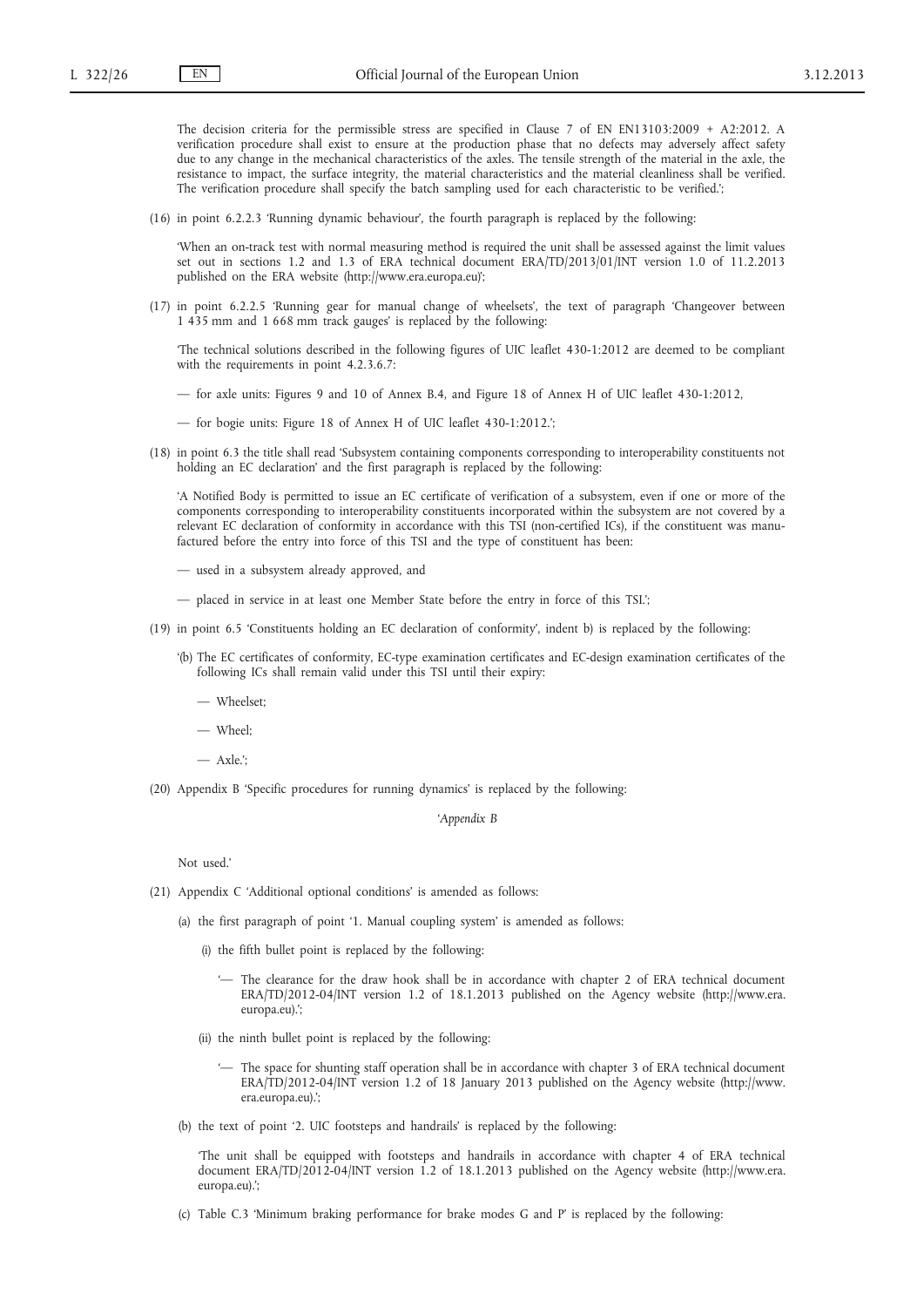The decision criteria for the permissible stress are specified in Clause 7 of EN EN13103:2009 + A2:2012. A verification procedure shall exist to ensure at the production phase that no defects may adversely affect safety due to any change in the mechanical characteristics of the axles. The tensile strength of the material in the axle, the resistance to impact, the surface integrity, the material characteristics and the material cleanliness shall be verified. The verification procedure shall specify the batch sampling used for each characteristic to be verified.';

(16) in point 6.2.2.3 'Running dynamic behaviour', the fourth paragraph is replaced by the following:

'When an on-track test with normal measuring method is required the unit shall be assessed against the limit values set out in sections 1.2 and 1.3 of ERA technical document ERA/TD/2013/01/INT version 1.0 of 11.2.2013 published on the ERA website (<http://www.era.europa.eu>)';

(17) in point 6.2.2.5 'Running gear for manual change of wheelsets', the text of paragraph 'Changeover between 1 435 mm and 1 668 mm track gauges' is replaced by the following:

'The technical solutions described in the following figures of UIC leaflet 430-1:2012 are deemed to be compliant with the requirements in point 4.2.3.6.7:

- for axle units: Figures 9 and 10 of Annex B.4, and Figure 18 of Annex H of UIC leaflet 430-1:2012,
- for bogie units: Figure 18 of Annex H of UIC leaflet 430-1:2012.';
- (18) in point 6.3 the title shall read 'Subsystem containing components corresponding to interoperability constituents not holding an EC declaration' and the first paragraph is replaced by the following:

'A Notified Body is permitted to issue an EC certificate of verification of a subsystem, even if one or more of the components corresponding to interoperability constituents incorporated within the subsystem are not covered by a relevant EC declaration of conformity in accordance with this TSI (non-certified ICs), if the constituent was manufactured before the entry into force of this TSI and the type of constituent has been:

- used in a subsystem already approved, and
- placed in service in at least one Member State before the entry in force of this TSI.';
- (19) in point 6.5 'Constituents holding an EC declaration of conformity', indent b) is replaced by the following:
	- '(b) The EC certificates of conformity, EC-type examination certificates and EC-design examination certificates of the following ICs shall remain valid under this TSI until their expiry:
		- Wheelset;
		- Wheel;
		- $-$  Axle<sup>"</sup>
- (20) Appendix B 'Specific procedures for running dynamics' is replaced by the following:

*'Appendix B*

Not used<sup>3</sup>

- (21) Appendix C 'Additional optional conditions' is amended as follows:
	- (a) the first paragraph of point '1. Manual coupling system' is amended as follows:
		- (i) the fifth bullet point is replaced by the following:
			- '— The clearance for the draw hook shall be in accordance with chapter 2 of ERA technical document ERA/TD/2012-04/INT version 1.2 of 18.1.2013 published on the Agency website ([http://www.era.](http://www.era.europa.eu) [europa.eu](http://www.era.europa.eu)).';
		- (ii) the ninth bullet point is replaced by the following:
			- '— The space for shunting staff operation shall be in accordance with chapter 3 of ERA technical document ERA/TD/2012-04/INT version 1.2 of 18 January 2013 published on the Agency website [\(http://www.](http://www.era.europa.eu) [era.europa.eu](http://www.era.europa.eu)).';
	- (b) the text of point '2. UIC footsteps and handrails' is replaced by the following:

'The unit shall be equipped with footsteps and handrails in accordance with chapter 4 of ERA technical document ERA/TD/2012-04/INT version 1.2 of 18.1.2013 published on the Agency website ([http://www.era.](http://www.era.europa.eu) [europa.eu](http://www.era.europa.eu)).';

(c) Table C.3 'Minimum braking performance for brake modes G and P' is replaced by the following: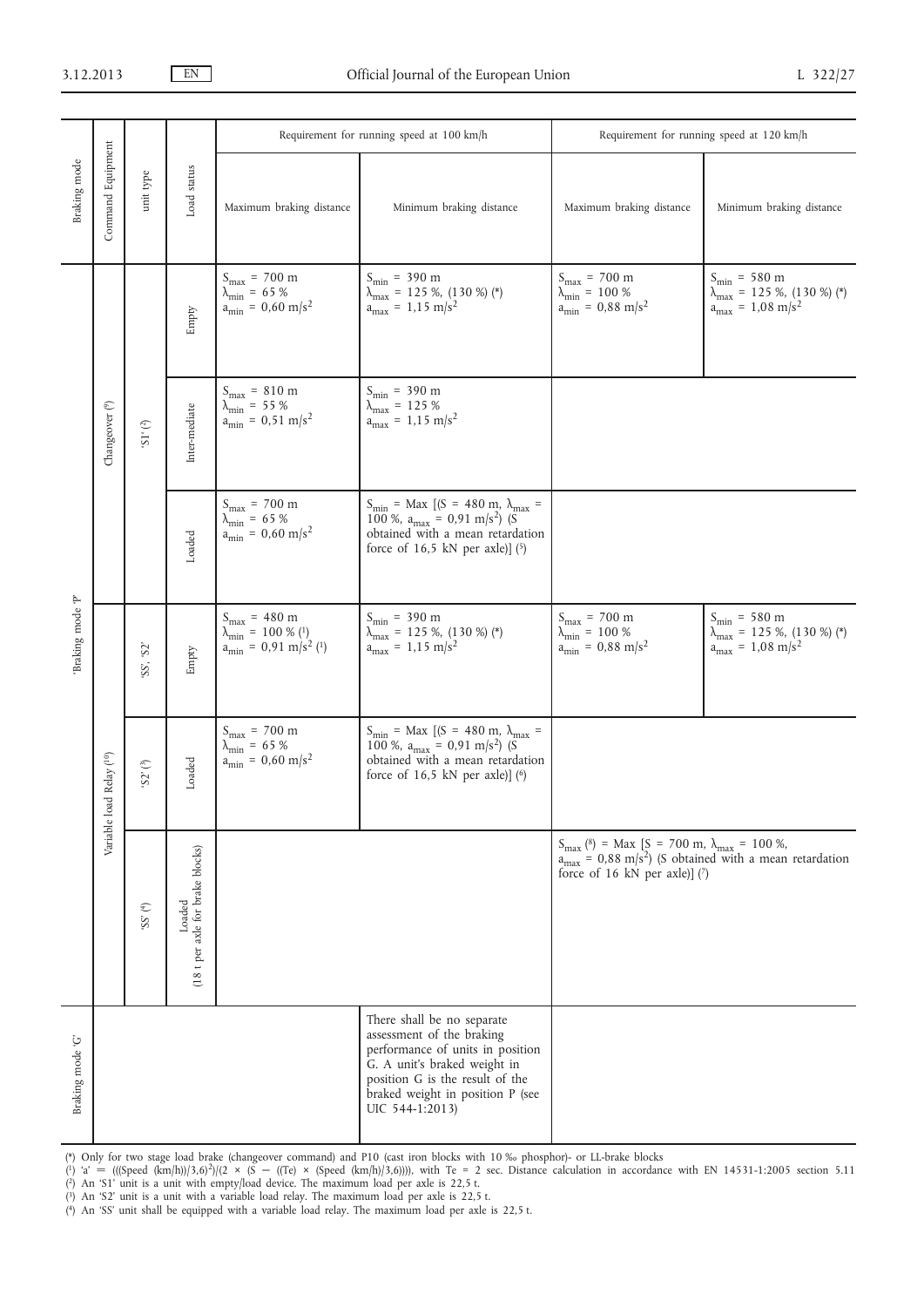| Braking mode     | Command Equipment          | unit type                                | Load status                                | Requirement for running speed at 100 km/h                                                                                           |                                                                                                                                                                                                                       | Requirement for running speed at 120 km/h                                                                 |                                                                                                                               |
|------------------|----------------------------|------------------------------------------|--------------------------------------------|-------------------------------------------------------------------------------------------------------------------------------------|-----------------------------------------------------------------------------------------------------------------------------------------------------------------------------------------------------------------------|-----------------------------------------------------------------------------------------------------------|-------------------------------------------------------------------------------------------------------------------------------|
|                  |                            |                                          |                                            | Maximum braking distance                                                                                                            | Minimum braking distance                                                                                                                                                                                              | Maximum braking distance                                                                                  | Minimum braking distance                                                                                                      |
| Braking mode P'  | Changeover <sup>(9)</sup>  | $\left( ^{2}_{\vphantom{1}}\right)$ .75, | Empty                                      | $S_{\rm max}$ = 700 m<br>$\lambda_{\rm min}$ = 65 %<br>$a_{\text{min}} = 0,60 \text{ m/s}^2$                                        | $S_{\text{min}} = 390 \text{ m}$<br>$\lambda_{\text{max}}$ = 125 %, (130 %) (*)<br>$a_{\text{max}} = 1.15 \text{ m/s}^2$                                                                                              | $S_{\text{max}} = 700 \text{ m}$<br>$\lambda_{\rm min}$ = 100 %<br>$a_{\text{min}} = 0.88 \text{ m/s}^2$  | $S_{\rm min}$ = 580 m<br>$\lambda_{\text{max}}^{\text{num}} = 125$ %, (130 %) (*)<br>a <sub>max</sub> = 1,08 m/s <sup>2</sup> |
|                  |                            |                                          | Inter-mediate                              | $S_{max} = 810$ m<br>$\lambda_{\text{min}} = 55 %$<br>a <sub>min</sub> = 0,51 m/s <sup>2</sup>                                      | $S_{\text{min}} = 390 \text{ m}$<br>$\lambda_{\text{max}} = 125 \%$<br>$a_{max} = 1.15 \text{ m/s}^2$                                                                                                                 |                                                                                                           |                                                                                                                               |
|                  |                            |                                          | Loaded                                     | $S_{\text{max}} = 700 \text{ m}$<br>$\lambda_{\text{min}} = 65 %$<br>a <sub>min</sub> = 0,60 m/s <sup>2</sup>                       | $S_{\text{min}}$ = Max [(S = 480 m, $\lambda_{\text{max}}$ = 100 %, $a_{\text{max}}$ = 0,91 m/s <sup>2</sup> ) (S<br>obtained with a mean retardation<br>force of $16,5$ kN per axle)] $(5)$                          |                                                                                                           |                                                                                                                               |
|                  | oad Relay (10)<br>Variable | 'SS', 'S2'                               | Empty                                      | $S_{\text{max}} = 480 \text{ m}$<br>$\lambda_{\text{min}}^{\text{max}} = 100 % (1)$<br>a <sub>min</sub> = 0,91 m/s <sup>2</sup> (1) | $S_{\text{min}} = 390 \text{ m}$<br>$\lambda_{\text{max}}$ = 125 %, (130 %) (*)<br>$a_{\text{max}} = 1.15 \text{ m/s}^2$                                                                                              | $S_{\text{max}} = 700 \text{ m}$<br>$\lambda_{\min}$ = 100 %<br>$a_{\text{min}} = 0.88 \text{ m/s}^2$     | $S_{\text{min}} = 580 \text{ m}$<br>$\lambda_{\text{max}}$ = 125 %, (130 %) (*)<br>$a_{\text{max}} = 1.08 \text{ m/s}^2$      |
|                  |                            | $\langle S2'\rangle(^3)$                 | Loaded                                     | $S_{max} = 700$ m<br>$\lambda_{\rm min}$ = 65 %<br>$a_{\text{min}} = 0,60 \text{ m/s}^2$                                            | $S_{\text{min}}$ = Max [(S = 480 m, $\lambda_{\text{max}}$ =<br>100 %, $a_{max} = 0.91$ m/s <sup>2</sup> ) (S<br>obtained with a mean retardation<br>force of $16,5$ kN per axle)] (6)                                |                                                                                                           |                                                                                                                               |
|                  |                            | $\left(^4\right)$ $SS$ $\left(^4\right)$ | (18 t per axle for brake blocks)<br>Loaded |                                                                                                                                     |                                                                                                                                                                                                                       | $S_{\text{max}}$ (8) = Max [S = 700 m, $\lambda_{\text{max}}$ = 100 %,<br>force of 16 kN per axle)] $(7)$ | $a_{\text{max}} = 0.88 \text{ m/s}^2$ (S obtained with a mean retardation                                                     |
| Braking mode 'G' |                            |                                          |                                            |                                                                                                                                     | There shall be no separate<br>assessment of the braking<br>performance of units in position<br>G. A unit's braked weight in<br>position G is the result of the<br>braked weight in position P (see<br>UIC 544-1:2013) |                                                                                                           |                                                                                                                               |

(\*) Only for two stage load brake (changeover command) and P10 (cast iron blocks with 10 ‰ phosphor)- or LL-brake blocks

(\*) Only for two stage load brake (changeover command) and P10 (cast iron blocks with 10 ‰ phosphor)- or LL-brake blocks<br>(<sup>1</sup>) 'a' = (((Speed (km/h))/3,6)<sup>2</sup>)/(2 × (S = ((Te) × (Speed (km/h)/3,6)))), with Te = 2 sec. Dist

( 3) An 'S2' unit is a unit with a variable load relay. The maximum load per axle is 22,5 t.

( 4) An 'SS' unit shall be equipped with a variable load relay. The maximum load per axle is 22,5 t.